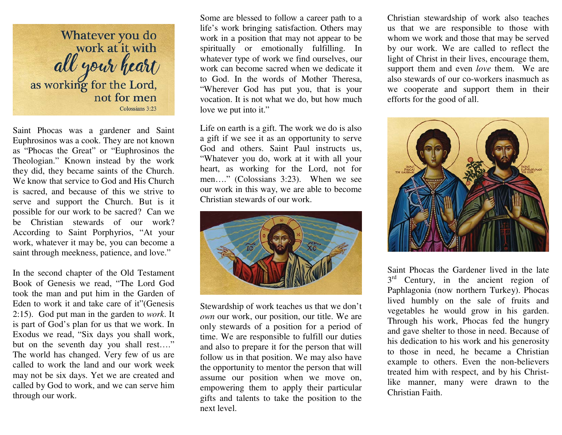

Saint Phocas was a gardener and Saint Euphrosinos was a cook. They are not known as "Phocas the Great" or "Euphrosinos the Theologian." Known instead by the work they did, they became saints of the Church. We know that service to God and His Church is sacred, and because of this we strive to serve and support the Church. But is it possible for our work to be sacred? Can we be Christian stewards of our work? According to Saint Porphyrios, "At your work, whatever it may be, you can become a saint through meekness, patience, and love."

In the second chapter of the Old Testament Book of Genesis we read, "The Lord God took the man and put him in the Garden of Eden to work it and take care of it"(Genesis 2:15). God put man in the garden to *work*. It is part of God's plan for us that we work. In Exodus we read, "Six days you shall work, but on the seventh day you shall rest…." The world has changed. Very few of us are called to work the land and our work week may not be six days. Yet we are created and called by God to work, and we can serve him through our work.

Some are blessed to follow a career path to a life's work bringing satisfaction. Others may work in a position that may not appear to be spiritually or emotionally fulfilling. In whatever type of work we find ourselves, our work can become sacred when we dedicate it to God. In the words of Mother Theresa, "Wherever God has put you, that is your vocation. It is not what we do, but how much love we put into it."

Life on earth is a gift. The work we do is also a gift if we see it as an opportunity to serve God and others. Saint Paul instructs us, "Whatever you do, work at it with all your heart, as working for the Lord, not for men…." (Colossians 3:23). When we see our work in this way, we are able to become Christian stewards of our work.



Stewardship of work teaches us that we don't *own* our work, our position, our title. We are only stewards of a position for a period of time. We are responsible to fulfill our duties and also to prepare it for the person that will follow us in that position. We may also have the opportunity to mentor the person that will assume our position when we move on, empowering them to apply their particular gifts and talents to take the position to the next level.

Christian stewardship of work also teaches us that we are responsible to those with whom we work and those that may be served by our work. We are called to reflect the light of Christ in their lives, encourage them, support them and even *love* them. We are also stewards of our co-workers inasmuch as we cooperate and support them in their efforts for the good of all.



Saint Phocas the Gardener lived in the late  $3<sup>rd</sup>$  Century, in the ancient region of Paphlagonia (now northern Turkey). Phocas lived humbly on the sale of fruits and vegetables he would grow in his garden. Through his work, Phocas fed the hungry and gave shelter to those in need. Because of his dedication to his work and his generosity to those in need, he became a Christian example to others. Even the non-believers treated him with respect, and by his Christlike manner, many were drawn to the Christian Faith.